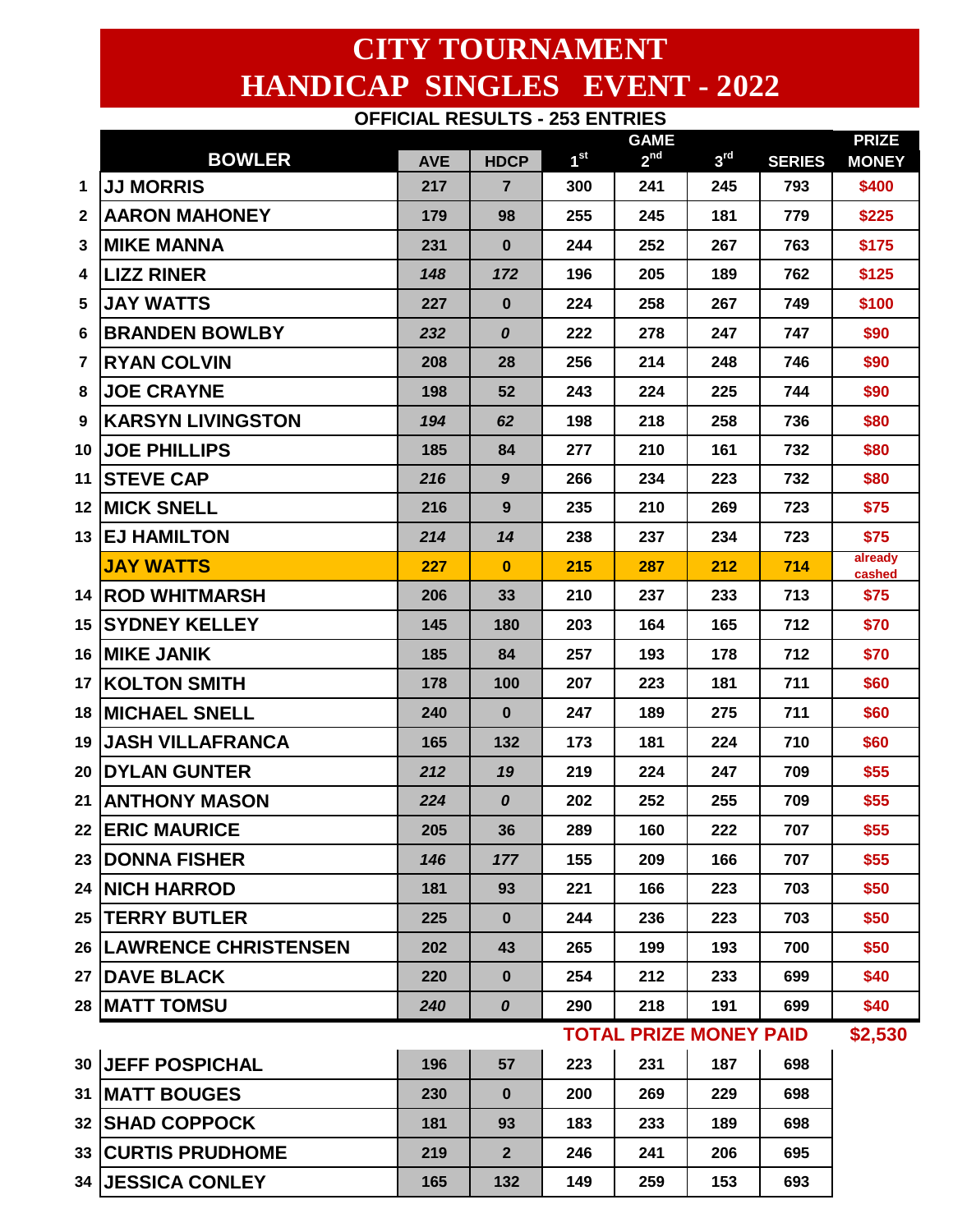## **CITY TOURNAMENT HANDICAP SINGLES EVENT - 2022 OFFICIAL RESULTS - 253 ENTRIES**

|              |                                          |            |                    |                 | <b>GAME</b>     |                 |               | <b>PRIZE</b>      |  |  |
|--------------|------------------------------------------|------------|--------------------|-----------------|-----------------|-----------------|---------------|-------------------|--|--|
|              | <b>BOWLER</b>                            | <b>AVE</b> | <b>HDCP</b>        | 1 <sup>st</sup> | 2 <sup>nd</sup> | 3 <sup>rd</sup> | <b>SERIES</b> | <b>MONEY</b>      |  |  |
| 1            | <b>JJ MORRIS</b>                         | 217        | $\overline{7}$     | 300             | 241             | 245             | 793           | \$400             |  |  |
| $\mathbf{2}$ | <b>AARON MAHONEY</b>                     | 179        | 98                 | 255             | 245             | 181             | 779           | \$225             |  |  |
| 3            | <b>MIKE MANNA</b>                        | 231        | $\bf{0}$           | 244             | 252             | 267             | 763           | \$175             |  |  |
| 4            | <b>LIZZ RINER</b>                        | 148        | 172                | 196             | 205             | 189             | 762           | \$125             |  |  |
| 5            | <b>JAY WATTS</b>                         | 227        | $\bf{0}$           | 224             | 258             | 267             | 749           | \$100             |  |  |
| 6            | <b>BRANDEN BOWLBY</b>                    | 232        | 0                  | 222             | 278             | 247             | 747           | \$90              |  |  |
| 7            | <b>RYAN COLVIN</b>                       | 208        | 28                 | 256             | 214             | 248             | 746           | \$90              |  |  |
| 8            | <b>JOE CRAYNE</b>                        | 198        | 52                 | 243             | 224             | 225             | 744           | \$90              |  |  |
| 9            | <b>KARSYN LIVINGSTON</b>                 | 194        | 62                 | 198             | 218             | 258             | 736           | \$80              |  |  |
| 10           | <b>JOE PHILLIPS</b>                      | 185        | 84                 | 277             | 210             | 161             | 732           | \$80              |  |  |
| 11           | <b>STEVE CAP</b>                         | 216        | $\boldsymbol{9}$   | 266             | 234             | 223             | 732           | \$80              |  |  |
|              | <b>12 MICK SNELL</b>                     | 216        | 9                  | 235             | 210             | 269             | 723           | \$75              |  |  |
| 13           | <b>EJ HAMILTON</b>                       | 214        | 14                 | 238             | 237             | 234             | 723           | \$75              |  |  |
|              | <b>JAY WATTS</b>                         | 227        | $\bf{0}$           | 215             | 287             | 212             | 714           | already<br>cashed |  |  |
|              | <b>14 ROD WHITMARSH</b>                  | 206        | 33                 | 210             | 237             | 233             | 713           | \$75              |  |  |
| 15           | <b>SYDNEY KELLEY</b>                     | 145        | 180                | 203             | 164             | 165             | 712           | \$70              |  |  |
| 16           | <b>IMIKE JANIK</b>                       | 185        | 84                 | 257             | 193             | 178             | 712           | \$70              |  |  |
| 17           | <b>KOLTON SMITH</b>                      | 178        | 100                | 207             | 223             | 181             | 711           | \$60              |  |  |
| 18           | <b>MICHAEL SNELL</b>                     | 240        | $\bf{0}$           | 247             | 189             | 275             | 711           | \$60              |  |  |
| 19           | <b>JASH VILLAFRANCA</b>                  | 165        | 132                | 173             | 181             | 224             | 710           | \$60              |  |  |
| 20           | <b>DYLAN GUNTER</b>                      | 212        | 19                 | 219             | 224             | 247             | 709           | \$55              |  |  |
| 21           | <b>ANTHONY MASON</b>                     | 224        | $\pmb{\mathit{O}}$ | 202             | 252             | 255             | 709           | \$55              |  |  |
|              | 22 ERIC MAURICE                          | 205        | 36                 | 289             | 160             | 222             | 707           | \$55              |  |  |
|              | 23 DONNA FISHER                          | 146        | 177                | 155             | 209             | 166             | 707           | \$55              |  |  |
| 24           | <b>INICH HARROD</b>                      | 181        | 93                 | 221             | 166             | 223             | 703           | \$50              |  |  |
| 25           | <b>TERRY BUTLER</b>                      | 225        | $\bf{0}$           | 244             | 236             | 223             | 703           | \$50              |  |  |
|              | 26   LAWRENCE CHRISTENSEN                | 202        | 43                 | 265             | 199             | 193             | 700           | \$50              |  |  |
|              | 27 DAVE BLACK                            | 220        | $\bf{0}$           | 254             | 212             | 233             | 699           | \$40              |  |  |
|              | 28   MATT TOMSU                          | 240        | $\pmb{\mathit{O}}$ | 290             | 218             | 191             | 699           | \$40              |  |  |
|              | <b>TOTAL PRIZE MONEY PAID</b><br>\$2,530 |            |                    |                 |                 |                 |               |                   |  |  |
|              | 30 JEFF POSPICHAL                        | 196        | 57                 | 223             | 231             | 187             | 698           |                   |  |  |
| 31           | <b>MATT BOUGES</b>                       | 230        | $\bf{0}$           | 200             | 269             | 229             | 698           |                   |  |  |
|              | 32 SHAD COPPOCK                          | 181        | 93                 | 183             | 233             | 189             | 698           |                   |  |  |
|              | 33   CURTIS PRUDHOME                     | 219        | $\overline{2}$     | 246             | 241             | 206             | 695           |                   |  |  |
|              | <b>34 JESSICA CONLEY</b>                 | 165        | 132                | 149             | 259             | 153             | 693           |                   |  |  |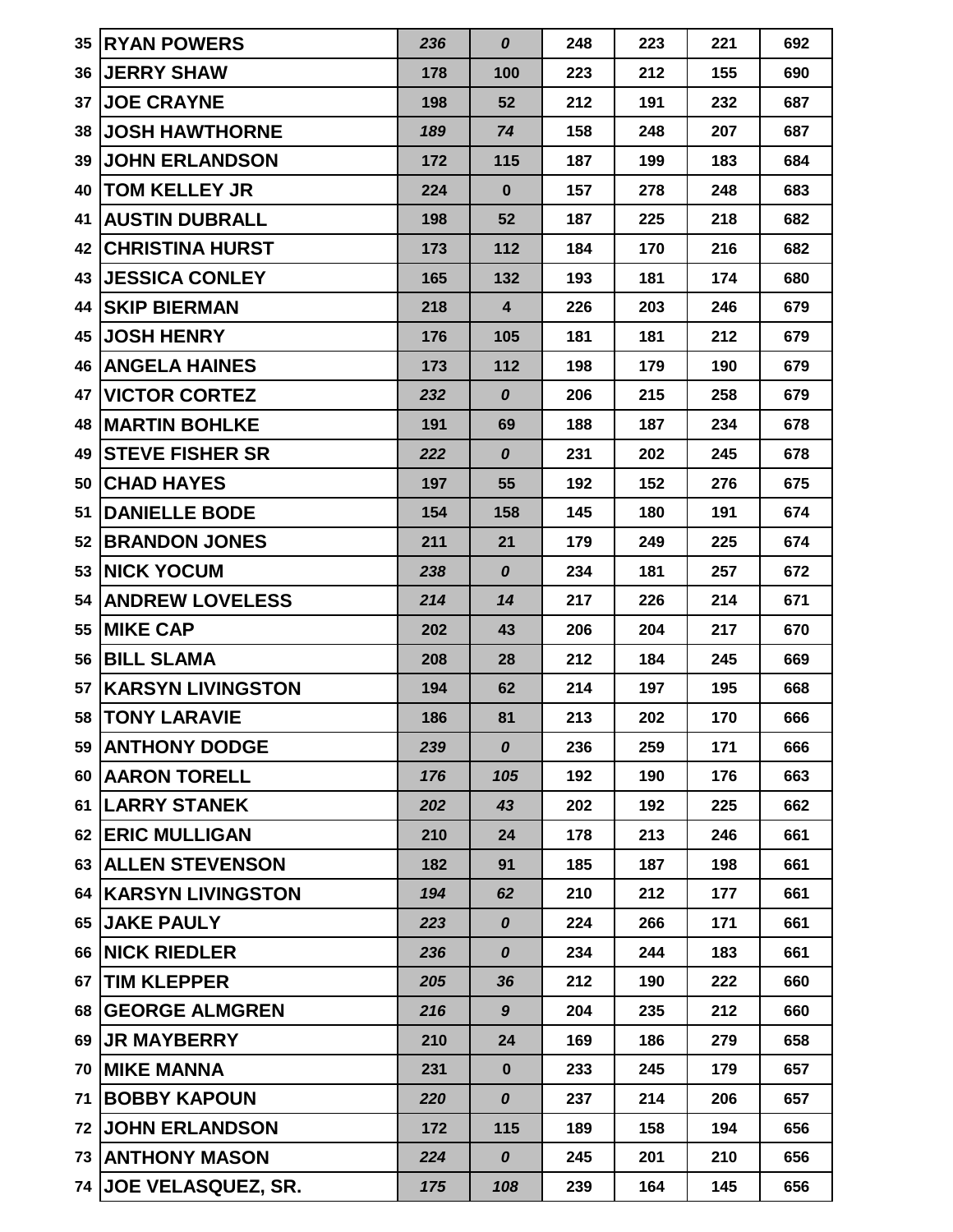| 35 | <b>IRYAN POWERS</b>         | 236 | $\boldsymbol{o}$        | 248 | 223 | 221 | 692 |
|----|-----------------------------|-----|-------------------------|-----|-----|-----|-----|
| 36 | <b>JERRY SHAW</b>           | 178 | 100                     | 223 | 212 | 155 | 690 |
| 37 | <b>JOE CRAYNE</b>           | 198 | 52                      | 212 | 191 | 232 | 687 |
|    | <b>38 JOSH HAWTHORNE</b>    | 189 | 74                      | 158 | 248 | 207 | 687 |
| 39 | <b>JOHN ERLANDSON</b>       | 172 | 115                     | 187 | 199 | 183 | 684 |
| 40 | <b>TOM KELLEY JR</b>        | 224 | $\bf{0}$                | 157 | 278 | 248 | 683 |
| 41 | <b>AUSTIN DUBRALL</b>       | 198 | 52                      | 187 | 225 | 218 | 682 |
|    | <b>42 CHRISTINA HURST</b>   | 173 | 112                     | 184 | 170 | 216 | 682 |
| 43 | <b>JESSICA CONLEY</b>       | 165 | 132                     | 193 | 181 | 174 | 680 |
| 44 | <b>SKIP BIERMAN</b>         | 218 | $\overline{\mathbf{4}}$ | 226 | 203 | 246 | 679 |
| 45 | <b>JOSH HENRY</b>           | 176 | 105                     | 181 | 181 | 212 | 679 |
|    | <b>46   ANGELA HAINES</b>   | 173 | 112                     | 198 | 179 | 190 | 679 |
| 47 | <b>VICTOR CORTEZ</b>        | 232 | $\boldsymbol{o}$        | 206 | 215 | 258 | 679 |
| 48 | <b>MARTIN BOHLKE</b>        | 191 | 69                      | 188 | 187 | 234 | 678 |
| 49 | <b>ISTEVE FISHER SR</b>     | 222 | $\boldsymbol{o}$        | 231 | 202 | 245 | 678 |
| 50 | <b>CHAD HAYES</b>           | 197 | 55                      | 192 | 152 | 276 | 675 |
| 51 | <b>DANIELLE BODE</b>        | 154 | 158                     | 145 | 180 | 191 | 674 |
|    | <b>52 BRANDON JONES</b>     | 211 | 21                      | 179 | 249 | 225 | 674 |
|    | 53 NICK YOCUM               | 238 | 0                       | 234 | 181 | 257 | 672 |
| 54 | <b>ANDREW LOVELESS</b>      | 214 | 14                      | 217 | 226 | 214 | 671 |
| 55 | <b>IMIKE CAP</b>            | 202 | 43                      | 206 | 204 | 217 | 670 |
|    | 56 BILL SLAMA               | 208 | 28                      | 212 | 184 | 245 | 669 |
| 57 | <b>KARSYN LIVINGSTON</b>    | 194 | 62                      | 214 | 197 | 195 | 668 |
|    | <b>58  TONY LARAVIE</b>     | 186 | 81                      | 213 | 202 | 170 | 666 |
|    | 59 ANTHONY DODGE            | 239 | 0                       | 236 | 259 | 171 | 666 |
|    | 60 AARON TORELL             | 176 | 105                     | 192 | 190 | 176 | 663 |
| 61 | <b>LARRY STANEK</b>         | 202 | 43                      | 202 | 192 | 225 | 662 |
|    | 62 ERIC MULLIGAN            | 210 | 24                      | 178 | 213 | 246 | 661 |
|    | 63 ALLEN STEVENSON          | 182 | 91                      | 185 | 187 | 198 | 661 |
|    | <b>64 KARSYN LIVINGSTON</b> | 194 | 62                      | 210 | 212 | 177 | 661 |
|    | 65 JAKE PAULY               | 223 | $\boldsymbol{o}$        | 224 | 266 | 171 | 661 |
|    | 66 NICK RIEDLER             | 236 | 0                       | 234 | 244 | 183 | 661 |
| 67 | <b>TIM KLEPPER</b>          | 205 | 36                      | 212 | 190 | 222 | 660 |
|    | 68 GEORGE ALMGREN           | 216 | $\boldsymbol{9}$        | 204 | 235 | 212 | 660 |
| 69 | <b>JR MAYBERRY</b>          | 210 | 24                      | 169 | 186 | 279 | 658 |
|    | <b>70 MIKE MANNA</b>        | 231 | $\mathbf 0$             | 233 | 245 | 179 | 657 |
| 71 | <b>IBOBBY KAPOUN</b>        | 220 | $\boldsymbol{o}$        | 237 | 214 | 206 | 657 |
| 72 | <b>JOHN ERLANDSON</b>       | 172 | 115                     | 189 | 158 | 194 | 656 |
|    | 73   ANTHONY MASON          | 224 | 0                       | 245 | 201 | 210 | 656 |
|    | 74 JOE VELASQUEZ, SR.       | 175 | 108                     | 239 | 164 | 145 | 656 |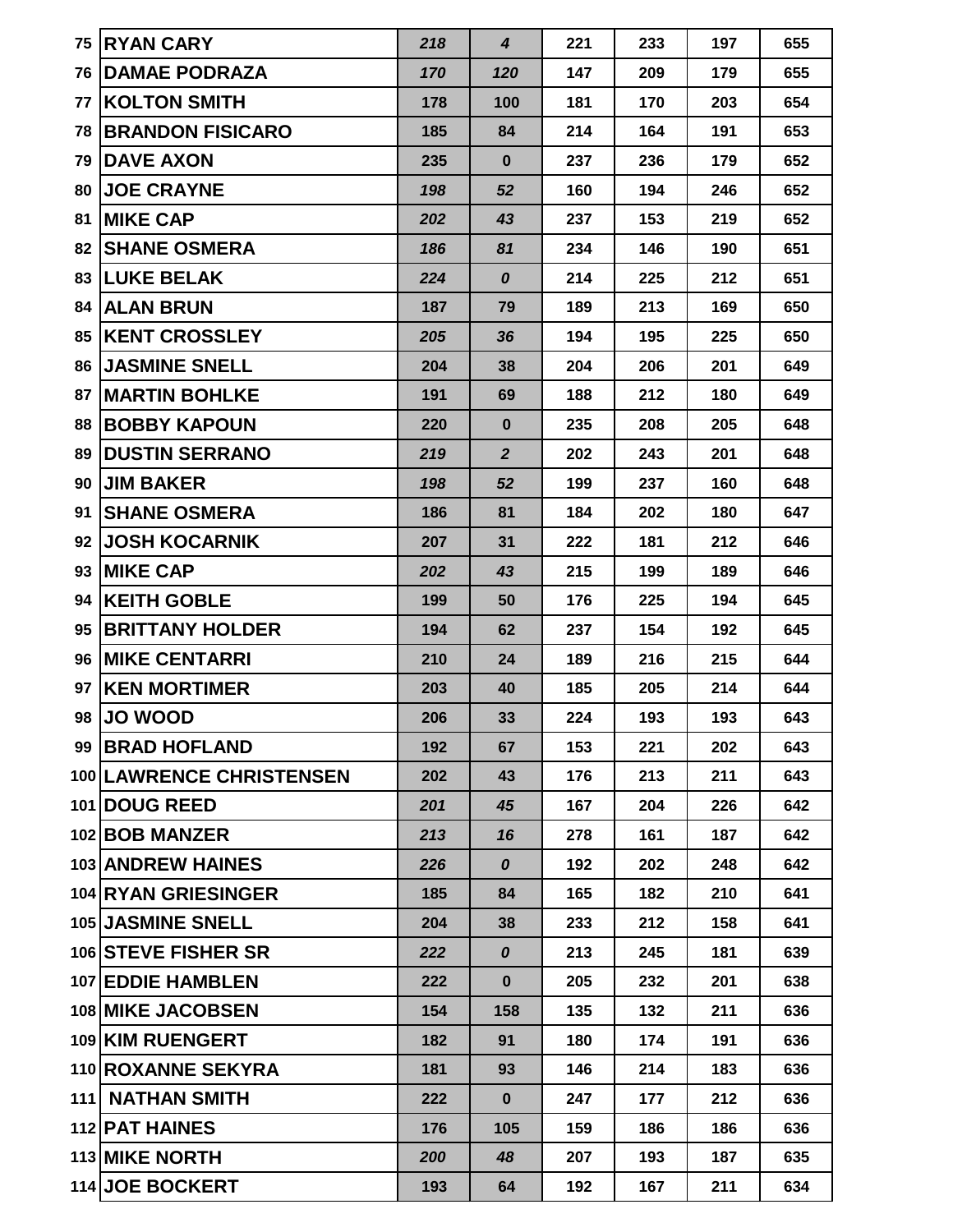|                 | 75 RYAN CARY                    | 218 | $\overline{\mathbf{4}}$ | 221 | 233 | 197 | 655 |
|-----------------|---------------------------------|-----|-------------------------|-----|-----|-----|-----|
| 76 I            | <b>DAMAE PODRAZA</b>            | 170 | 120                     | 147 | 209 | 179 | 655 |
|                 | <b>77 IKOLTON SMITH</b>         | 178 | 100                     | 181 | 170 | 203 | 654 |
|                 | <b>78 BRANDON FISICARO</b>      | 185 | 84                      | 214 | 164 | 191 | 653 |
|                 | <b>79 IDAVE AXON</b>            | 235 | $\bf{0}$                | 237 | 236 | 179 | 652 |
|                 | <b>80 JOE CRAYNE</b>            | 198 | 52                      | 160 | 194 | 246 | 652 |
| 81              | <b>MIKE CAP</b>                 | 202 | 43                      | 237 | 153 | 219 | 652 |
| 82 <sub>1</sub> | <b>SHANE OSMERA</b>             | 186 | 81                      | 234 | 146 | 190 | 651 |
|                 | 83   LUKE BELAK                 | 224 | 0                       | 214 | 225 | 212 | 651 |
|                 | 84   ALAN BRUN                  | 187 | 79                      | 189 | 213 | 169 | 650 |
|                 | <b>85 IKENT CROSSLEY</b>        | 205 | 36                      | 194 | 195 | 225 | 650 |
|                 | <b>86 JASMINE SNELL</b>         | 204 | 38                      | 204 | 206 | 201 | 649 |
|                 | <b>87   MARTIN BOHLKE</b>       | 191 | 69                      | 188 | 212 | 180 | 649 |
|                 | <b>88 BOBBY KAPOUN</b>          | 220 | $\bf{0}$                | 235 | 208 | 205 | 648 |
| 89              | <b>DUSTIN SERRANO</b>           | 219 | $\boldsymbol{2}$        | 202 | 243 | 201 | 648 |
| 90              | <b>JIM BAKER</b>                | 198 | 52                      | 199 | 237 | 160 | 648 |
| 91              | <b>SHANE OSMERA</b>             | 186 | 81                      | 184 | 202 | 180 | 647 |
| 92              | <b>JOSH KOCARNIK</b>            | 207 | 31                      | 222 | 181 | 212 | 646 |
| 93              | <b>MIKE CAP</b>                 | 202 | 43                      | 215 | 199 | 189 | 646 |
|                 | 94 KEITH GOBLE                  | 199 | 50                      | 176 | 225 | 194 | 645 |
|                 | 95 BRITTANY HOLDER              | 194 | 62                      | 237 | 154 | 192 | 645 |
|                 | <b>96 MIKE CENTARRI</b>         | 210 | 24                      | 189 | 216 | 215 | 644 |
| 97              | <b>KEN MORTIMER</b>             | 203 | 40                      | 185 | 205 | 214 | 644 |
|                 | 98 JO WOOD                      | 206 | 33                      | 224 | 193 | 193 | 643 |
|                 | 99 BRAD HOFLAND                 | 192 | 67                      | 153 | 221 | 202 | 643 |
|                 | <b>100 LAWRENCE CHRISTENSEN</b> | 202 | 43                      | 176 | 213 | 211 | 643 |
|                 | 101 DOUG REED                   | 201 | 45                      | 167 | 204 | 226 | 642 |
|                 | 102 BOB MANZER                  | 213 | 16                      | 278 | 161 | 187 | 642 |
|                 | <b>103 ANDREW HAINES</b>        | 226 | $\boldsymbol{o}$        | 192 | 202 | 248 | 642 |
|                 | <b>104 RYAN GRIESINGER</b>      | 185 | 84                      | 165 | 182 | 210 | 641 |
|                 | <b>105 JASMINE SNELL</b>        | 204 | 38                      | 233 | 212 | 158 | 641 |
|                 | 106 STEVE FISHER SR             | 222 | 0                       | 213 | 245 | 181 | 639 |
|                 | 107 EDDIE HAMBLEN               | 222 | $\bf{0}$                | 205 | 232 | 201 | 638 |
|                 | <b>108 MIKE JACOBSEN</b>        | 154 | 158                     | 135 | 132 | 211 | 636 |
|                 | 109 KIM RUENGERT                | 182 | 91                      | 180 | 174 | 191 | 636 |
|                 | 110 ROXANNE SEKYRA              | 181 | 93                      | 146 | 214 | 183 | 636 |
|                 | 111 NATHAN SMITH                | 222 | $\mathbf 0$             | 247 | 177 | 212 | 636 |
|                 | 112 PAT HAINES                  | 176 | 105                     | 159 | 186 | 186 | 636 |
|                 | <b>113 MIKE NORTH</b>           | 200 | 48                      | 207 | 193 | 187 | 635 |
|                 | 114 JOE BOCKERT                 | 193 | 64                      | 192 | 167 | 211 | 634 |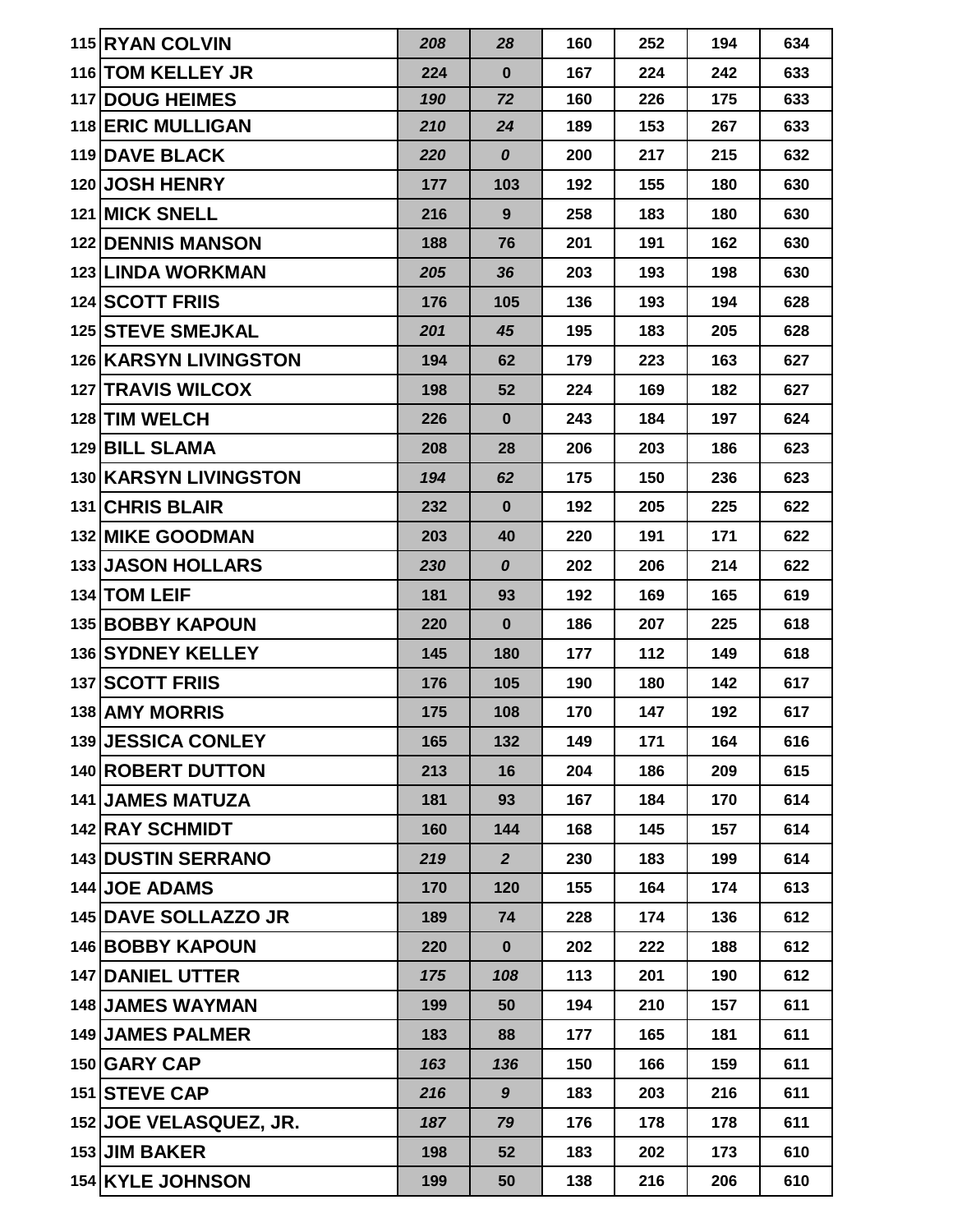| 115 RYAN COLVIN              | 208 | 28               | 160 | 252 | 194 | 634 |
|------------------------------|-----|------------------|-----|-----|-----|-----|
| 116 TOM KELLEY JR            | 224 | $\bf{0}$         | 167 | 224 | 242 | 633 |
| <b>117 DOUG HEIMES</b>       | 190 | 72               | 160 | 226 | 175 | 633 |
| <b>118 ERIC MULLIGAN</b>     | 210 | 24               | 189 | 153 | 267 | 633 |
| <b>119 DAVE BLACK</b>        | 220 | $\boldsymbol{0}$ | 200 | 217 | 215 | 632 |
| 120 JOSH HENRY               | 177 | 103              | 192 | 155 | 180 | 630 |
| <b>121 MICK SNELL</b>        | 216 | 9                | 258 | 183 | 180 | 630 |
| <b>122 IDENNIS MANSON</b>    | 188 | 76               | 201 | 191 | 162 | 630 |
| <b>123 LINDA WORKMAN</b>     | 205 | 36               | 203 | 193 | 198 | 630 |
| <b>124 SCOTT FRIIS</b>       | 176 | 105              | 136 | 193 | 194 | 628 |
| <b>125 STEVE SMEJKAL</b>     | 201 | 45               | 195 | 183 | 205 | 628 |
| <b>126 KARSYN LIVINGSTON</b> | 194 | 62               | 179 | 223 | 163 | 627 |
| <b>127 TRAVIS WILCOX</b>     | 198 | 52               | 224 | 169 | 182 | 627 |
| 128 TIM WELCH                | 226 | $\bf{0}$         | 243 | 184 | 197 | 624 |
| <b>129 BILL SLAMA</b>        | 208 | 28               | 206 | 203 | 186 | 623 |
| <b>130 KARSYN LIVINGSTON</b> | 194 | 62               | 175 | 150 | 236 | 623 |
| 131 CHRIS BLAIR              | 232 | $\bf{0}$         | 192 | 205 | 225 | 622 |
| <b>132 MIKE GOODMAN</b>      | 203 | 40               | 220 | 191 | 171 | 622 |
| <b>133 JASON HOLLARS</b>     | 230 | 0                | 202 | 206 | 214 | 622 |
| 134 TOM LEIF                 | 181 | 93               | 192 | 169 | 165 | 619 |
| <b>135 BOBBY KAPOUN</b>      | 220 | $\bf{0}$         | 186 | 207 | 225 | 618 |
| 136 SYDNEY KELLEY            | 145 | 180              | 177 | 112 | 149 | 618 |
| <b>137 SCOTT FRIIS</b>       | 176 | 105              | 190 | 180 | 142 | 617 |
| <b>138 AMY MORRIS</b>        | 175 | 108              | 170 | 147 | 192 | 617 |
| 139 JESSICA CONLEY           | 165 | 132              | 149 | 171 | 164 | 616 |
| 140 ROBERT DUTTON            | 213 | 16               | 204 | 186 | 209 | 615 |
| <b>141 JAMES MATUZA</b>      | 181 | 93               | 167 | 184 | 170 | 614 |
| 142 RAY SCHMIDT              | 160 | 144              | 168 | 145 | 157 | 614 |
| <b>143 DUSTIN SERRANO</b>    | 219 | $\overline{2}$   | 230 | 183 | 199 | 614 |
| <b>144 JOE ADAMS</b>         | 170 | 120              | 155 | 164 | 174 | 613 |
| 145 DAVE SOLLAZZO JR         | 189 | 74               | 228 | 174 | 136 | 612 |
| <b>146 BOBBY KAPOUN</b>      | 220 | $\bf{0}$         | 202 | 222 | 188 | 612 |
| 147 DANIEL UTTER             | 175 | 108              | 113 | 201 | 190 | 612 |
| <b>148 JAMES WAYMAN</b>      | 199 | 50               | 194 | 210 | 157 | 611 |
| <b>149 JAMES PALMER</b>      | 183 | 88               | 177 | 165 | 181 | 611 |
| 150 GARY CAP                 | 163 | 136              | 150 | 166 | 159 | 611 |
| 151 STEVE CAP                | 216 | 9                | 183 | 203 | 216 | 611 |
| 152 JOE VELASQUEZ, JR.       | 187 | 79               | 176 | 178 | 178 | 611 |
| 153 JIM BAKER                | 198 | 52               | 183 | 202 | 173 | 610 |
| 154 KYLE JOHNSON             | 199 | 50               | 138 | 216 | 206 | 610 |
|                              |     |                  |     |     |     |     |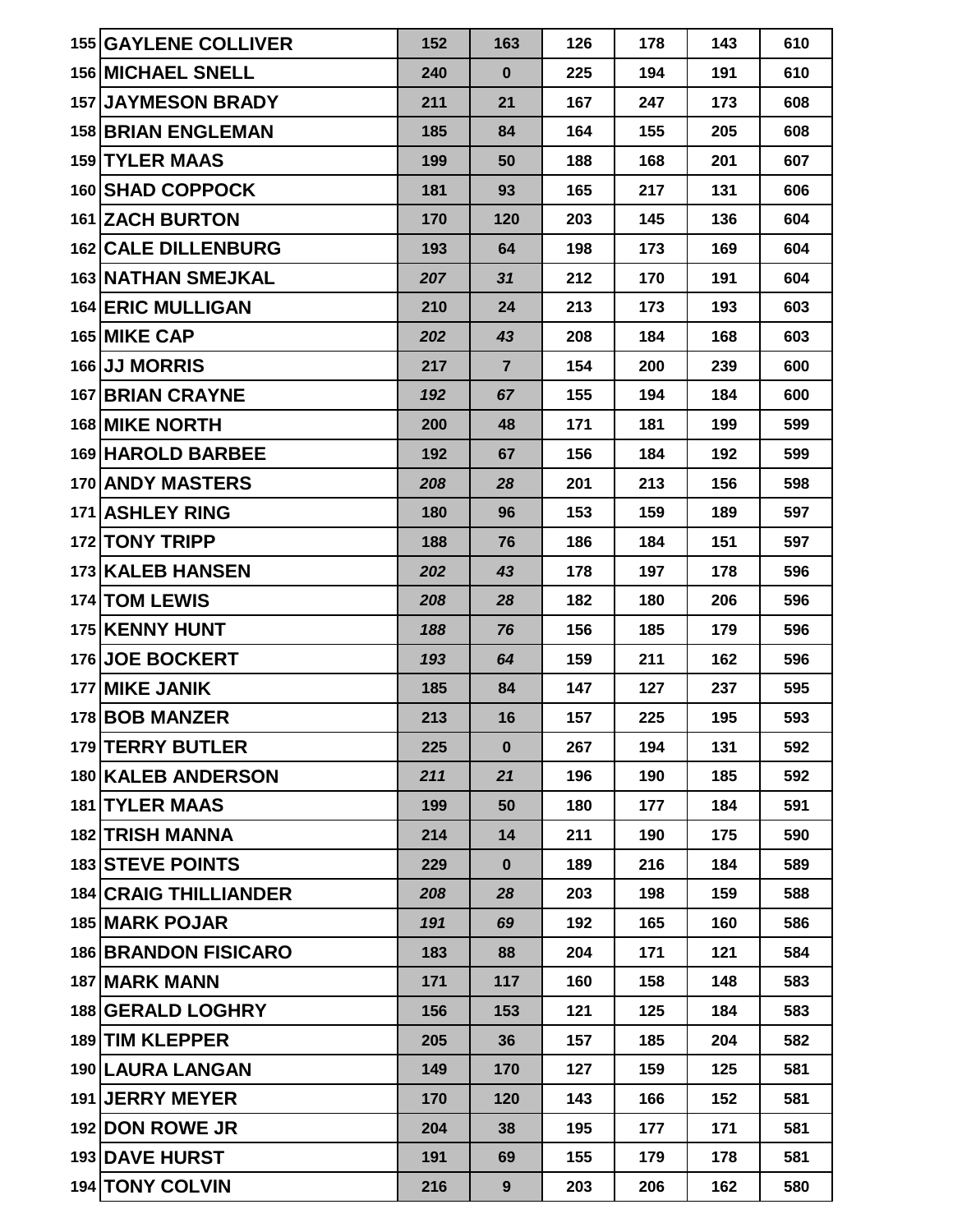| <b>155 GAYLENE COLLIVER</b>  | 152 | 163            | 126 | 178 | 143 | 610 |
|------------------------------|-----|----------------|-----|-----|-----|-----|
| <b>156 MICHAEL SNELL</b>     | 240 | $\mathbf 0$    | 225 | 194 | 191 | 610 |
| <b>157 JAYMESON BRADY</b>    | 211 | 21             | 167 | 247 | 173 | 608 |
| <b>158 BRIAN ENGLEMAN</b>    | 185 | 84             | 164 | 155 | 205 | 608 |
| <b>159 TYLER MAAS</b>        | 199 | 50             | 188 | 168 | 201 | 607 |
| <b>160 SHAD COPPOCK</b>      | 181 | 93             | 165 | 217 | 131 | 606 |
| 161 ZACH BURTON              | 170 | 120            | 203 | 145 | 136 | 604 |
| <b>162 CALE DILLENBURG</b>   | 193 | 64             | 198 | 173 | 169 | 604 |
| <b>163 NATHAN SMEJKAL</b>    | 207 | 31             | 212 | 170 | 191 | 604 |
| <b>164 ERIC MULLIGAN</b>     | 210 | 24             | 213 | 173 | 193 | 603 |
| 165 MIKE CAP                 | 202 | 43             | 208 | 184 | 168 | 603 |
| 166 JJ MORRIS                | 217 | $\overline{7}$ | 154 | 200 | 239 | 600 |
| <b>167 BRIAN CRAYNE</b>      | 192 | 67             | 155 | 194 | 184 | 600 |
| 168 MIKE NORTH               | 200 | 48             | 171 | 181 | 199 | 599 |
| 169 HAROLD BARBEE            | 192 | 67             | 156 | 184 | 192 | 599 |
| 170 ANDY MASTERS             | 208 | 28             | 201 | 213 | 156 | 598 |
| 171 ASHLEY RING              | 180 | 96             | 153 | 159 | 189 | 597 |
| 172 TONY TRIPP               | 188 | 76             | 186 | 184 | 151 | 597 |
| <b>173 KALEB HANSEN</b>      | 202 | 43             | 178 | 197 | 178 | 596 |
| 174 TOM LEWIS                | 208 | 28             | 182 | 180 | 206 | 596 |
| 175 KENNY HUNT               | 188 | 76             | 156 | 185 | 179 | 596 |
| 176 JOE BOCKERT              | 193 | 64             | 159 | 211 | 162 | 596 |
| 177 MIKE JANIK               | 185 | 84             | 147 | 127 | 237 | 595 |
| 178 BOB MANZER               | 213 | 16             | 157 | 225 | 195 | 593 |
| 179 TERRY BUTLER             | 225 | $\bf{0}$       | 267 | 194 | 131 | 592 |
| 180 KALEB ANDERSON           | 211 | 21             | 196 | 190 | 185 | 592 |
| <b>181 TYLER MAAS</b>        | 199 | 50             | 180 | 177 | 184 | 591 |
| 182 TRISH MANNA              | 214 | 14             | 211 | 190 | 175 | 590 |
| <b>183 STEVE POINTS</b>      | 229 | $\bf{0}$       | 189 | 216 | 184 | 589 |
| <b>184 CRAIG THILLIANDER</b> | 208 | 28             | 203 | 198 | 159 | 588 |
| <b>185 MARK POJAR</b>        | 191 | 69             | 192 | 165 | 160 | 586 |
| <b>186 BRANDON FISICARO</b>  | 183 | 88             | 204 | 171 | 121 | 584 |
| 187 MARK MANN                | 171 | 117            | 160 | 158 | 148 | 583 |
| <b>188 GERALD LOGHRY</b>     | 156 | 153            | 121 | 125 | 184 | 583 |
| 189 TIM KLEPPER              | 205 | 36             | 157 | 185 | 204 | 582 |
| 190 LAURA LANGAN             | 149 | 170            | 127 | 159 | 125 | 581 |
| 191 JERRY MEYER              | 170 | 120            | 143 | 166 | 152 | 581 |
| 192 DON ROWE JR              | 204 | 38             | 195 | 177 | 171 | 581 |
| <b>193 DAVE HURST</b>        | 191 | 69             | 155 | 179 | 178 | 581 |
| 194 TONY COLVIN              | 216 | 9              | 203 | 206 | 162 | 580 |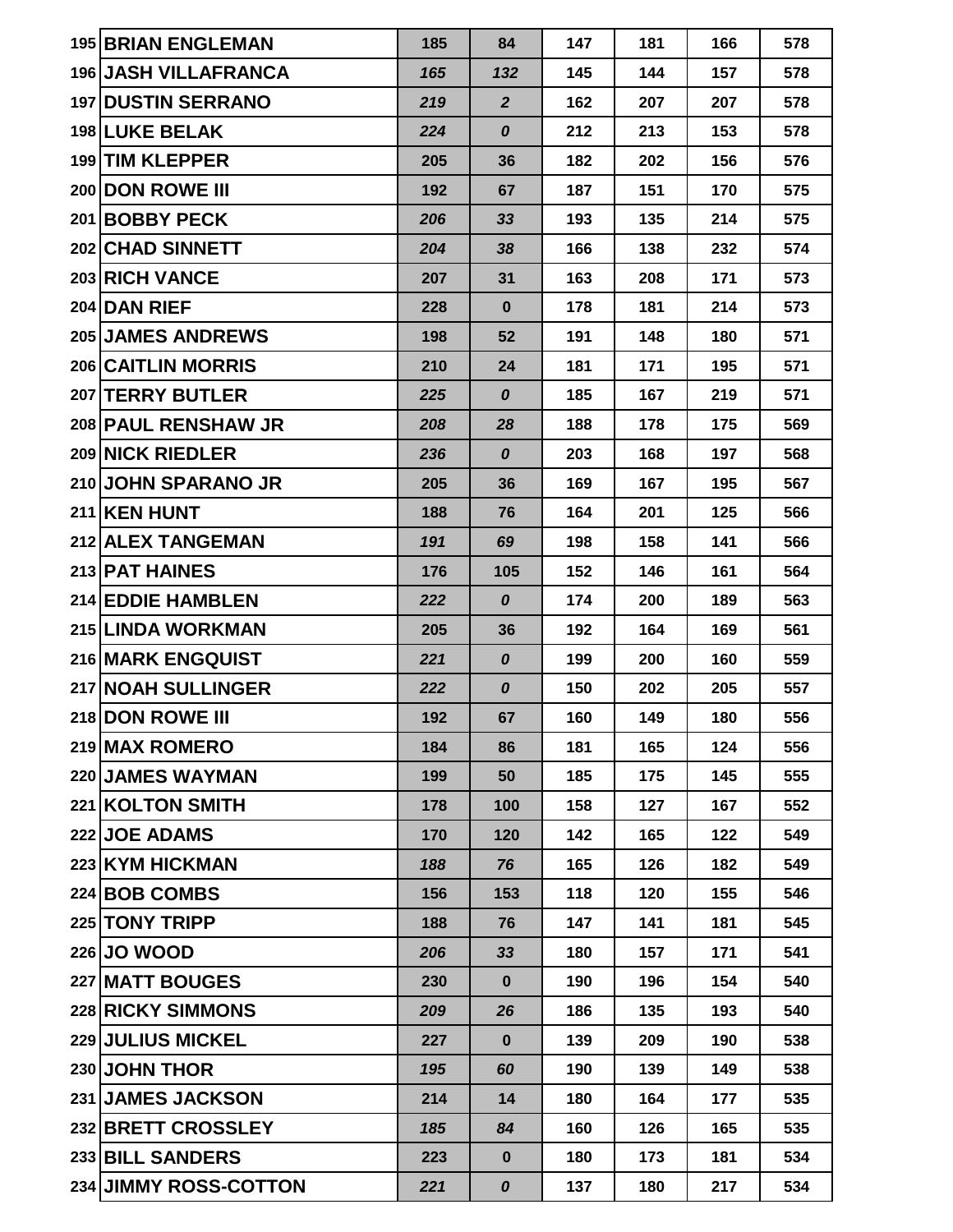| 195 BRIAN ENGLEMAN          | 185 | 84                 | 147 | 181 | 166 | 578 |
|-----------------------------|-----|--------------------|-----|-----|-----|-----|
| <b>196 JASH VILLAFRANCA</b> | 165 | 132                | 145 | 144 | 157 | 578 |
| <b>197 DUSTIN SERRANO</b>   | 219 | $\overline{2}$     | 162 | 207 | 207 | 578 |
| 198 LUKE BELAK              | 224 | $\boldsymbol{0}$   | 212 | 213 | 153 | 578 |
| 199 TIM KLEPPER             | 205 | 36                 | 182 | 202 | 156 | 576 |
| 200 DON ROWE III            | 192 | 67                 | 187 | 151 | 170 | 575 |
| 201 BOBBY PECK              | 206 | 33                 | 193 | 135 | 214 | 575 |
| 202 CHAD SINNETT            | 204 | 38                 | 166 | 138 | 232 | 574 |
| 203 RICH VANCE              | 207 | 31                 | 163 | 208 | 171 | 573 |
| 204 DAN RIEF                | 228 | $\bf{0}$           | 178 | 181 | 214 | 573 |
| <b>205 JAMES ANDREWS</b>    | 198 | 52                 | 191 | 148 | 180 | 571 |
| 206 CAITLIN MORRIS          | 210 | 24                 | 181 | 171 | 195 | 571 |
| 207 TERRY BUTLER            | 225 | $\boldsymbol{o}$   | 185 | 167 | 219 | 571 |
| 208 PAUL RENSHAW JR         | 208 | 28                 | 188 | 178 | 175 | 569 |
| 209 NICK RIEDLER            | 236 | $\boldsymbol{o}$   | 203 | 168 | 197 | 568 |
| 210 JOHN SPARANO JR         | 205 | 36                 | 169 | 167 | 195 | 567 |
| 211 KEN HUNT                | 188 | 76                 | 164 | 201 | 125 | 566 |
| 212 ALEX TANGEMAN           | 191 | 69                 | 198 | 158 | 141 | 566 |
| 213 PAT HAINES              | 176 | 105                | 152 | 146 | 161 | 564 |
| 214 EDDIE HAMBLEN           | 222 | $\boldsymbol{o}$   | 174 | 200 | 189 | 563 |
| 215 LINDA WORKMAN           | 205 | 36                 | 192 | 164 | 169 | 561 |
| 216 MARK ENGQUIST           | 221 | $\boldsymbol{o}$   | 199 | 200 | 160 | 559 |
| 217 NOAH SULLINGER          | 222 | $\boldsymbol{o}$   | 150 | 202 | 205 | 557 |
| 218 DON ROWE III            | 192 | 67                 | 160 | 149 | 180 | 556 |
| 219 MAX ROMERO              | 184 | 86                 | 181 | 165 | 124 | 556 |
| 220 JAMES WAYMAN            | 199 | 50                 | 185 | 175 | 145 | 555 |
| 221 KOLTON SMITH            | 178 | 100                | 158 | 127 | 167 | 552 |
| 222 JOE ADAMS               | 170 | 120                | 142 | 165 | 122 | 549 |
| 223 KYM HICKMAN             | 188 | 76                 | 165 | 126 | 182 | 549 |
| 224 BOB COMBS               | 156 | 153                | 118 | 120 | 155 | 546 |
| 225 TONY TRIPP              | 188 | 76                 | 147 | 141 | 181 | 545 |
| 226 JO WOOD                 | 206 | 33                 | 180 | 157 | 171 | 541 |
| 227 MATT BOUGES             | 230 | $\mathbf 0$        | 190 | 196 | 154 | 540 |
| 228 RICKY SIMMONS           | 209 | 26                 | 186 | 135 | 193 | 540 |
| 229 JULIUS MICKEL           | 227 | $\bf{0}$           | 139 | 209 | 190 | 538 |
| 230 JOHN THOR               | 195 | 60                 | 190 | 139 | 149 | 538 |
| 231 JAMES JACKSON           | 214 | 14                 | 180 | 164 | 177 | 535 |
| 232 BRETT CROSSLEY          | 185 | 84                 | 160 | 126 | 165 | 535 |
| 233 BILL SANDERS            | 223 | $\bf{0}$           | 180 | 173 | 181 | 534 |
| 234 JIMMY ROSS-COTTON       | 221 | $\pmb{\mathit{O}}$ | 137 | 180 | 217 | 534 |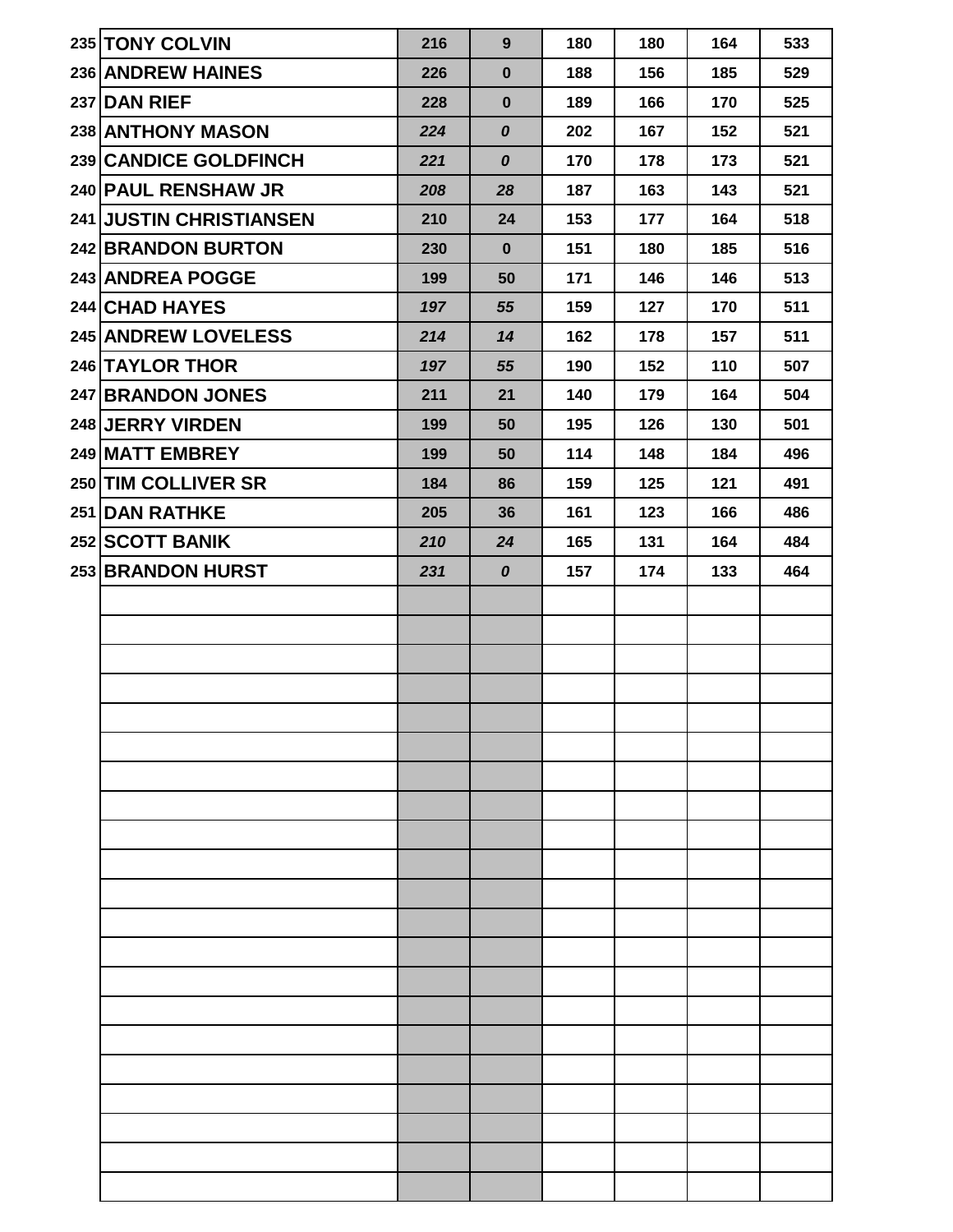| 235 TONY COLVIN                | 216 | 9                | 180 | 180 | 164 | 533 |
|--------------------------------|-----|------------------|-----|-----|-----|-----|
| 236 ANDREW HAINES              | 226 | $\mathbf 0$      | 188 | 156 | 185 | 529 |
| 237 DAN RIEF                   | 228 | $\bf{0}$         | 189 | 166 | 170 | 525 |
| 238 ANTHONY MASON              | 224 | $\pmb{o}$        | 202 | 167 | 152 | 521 |
| 239 CANDICE GOLDFINCH          | 221 | $\boldsymbol{o}$ | 170 | 178 | 173 | 521 |
| 240 PAUL RENSHAW JR            | 208 | 28               | 187 | 163 | 143 | 521 |
| <b>241 JUSTIN CHRISTIANSEN</b> | 210 | 24               | 153 | 177 | 164 | 518 |
| 242 BRANDON BURTON             | 230 | $\bf{0}$         | 151 | 180 | 185 | 516 |
| 243 ANDREA POGGE               | 199 | 50               | 171 | 146 | 146 | 513 |
| 244 CHAD HAYES                 | 197 | 55               | 159 | 127 | 170 | 511 |
| 245 ANDREW LOVELESS            | 214 | 14               | 162 | 178 | 157 | 511 |
| 246 TAYLOR THOR                | 197 | 55               | 190 | 152 | 110 | 507 |
| 247 BRANDON JONES              | 211 | 21               | 140 | 179 | 164 | 504 |
| 248 JERRY VIRDEN               | 199 | 50               | 195 | 126 | 130 | 501 |
| 249 MATT EMBREY                | 199 | 50               | 114 | 148 | 184 | 496 |
| 250 TIM COLLIVER SR            | 184 | 86               | 159 | 125 | 121 | 491 |
| 251 DAN RATHKE                 | 205 | 36               | 161 | 123 | 166 | 486 |
| 252 SCOTT BANIK                | 210 | 24               | 165 | 131 | 164 | 484 |
| 253 BRANDON HURST              | 231 | $\boldsymbol{o}$ | 157 | 174 | 133 | 464 |
|                                |     |                  |     |     |     |     |
|                                |     |                  |     |     |     |     |
|                                |     |                  |     |     |     |     |
|                                |     |                  |     |     |     |     |
|                                |     |                  |     |     |     |     |
|                                |     |                  |     |     |     |     |
|                                |     |                  |     |     |     |     |
|                                |     |                  |     |     |     |     |
|                                |     |                  |     |     |     |     |
|                                |     |                  |     |     |     |     |
|                                |     |                  |     |     |     |     |
|                                |     |                  |     |     |     |     |
|                                |     |                  |     |     |     |     |
|                                |     |                  |     |     |     |     |
|                                |     |                  |     |     |     |     |
|                                |     |                  |     |     |     |     |
|                                |     |                  |     |     |     |     |
|                                |     |                  |     |     |     |     |
|                                |     |                  |     |     |     |     |
|                                |     |                  |     |     |     |     |
|                                |     |                  |     |     |     |     |